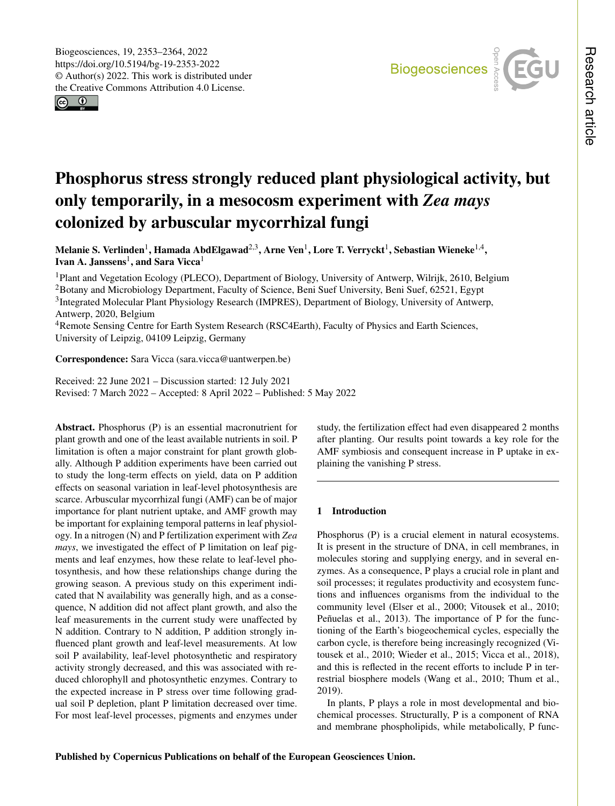$\boxed{6}$ 



# Phosphorus stress strongly reduced plant physiological activity, but only temporarily, in a mesocosm experiment with *Zea mays* colonized by arbuscular mycorrhizal fungi

Melanie S. Verlinden $^1$  $^1$ , Hamada AbdElgawad $^{2,3}$  $^{2,3}$  $^{2,3}$ , Arne Ven $^1$ , Lore T. Verryckt $^1$ , Sebastian Wieneke $^{1,4},$  $^{1,4},$  $^{1,4},$ Ivan A. Janssens<sup>[1](#page-0-0)</sup>, and Sara Vicca<sup>1</sup>

<sup>1</sup>Plant and Vegetation Ecology (PLECO), Department of Biology, University of Antwerp, Wilrijk, 2610, Belgium <sup>2</sup>Botany and Microbiology Department, Faculty of Science, Beni Suef University, Beni Suef, 62521, Egypt <sup>3</sup>Integrated Molecular Plant Physiology Research (IMPRES), Department of Biology, University of Antwerp, Antwerp, 2020, Belgium

<sup>4</sup>Remote Sensing Centre for Earth System Research (RSC4Earth), Faculty of Physics and Earth Sciences, University of Leipzig, 04109 Leipzig, Germany

# Correspondence: Sara Vicca (sara.vicca@uantwerpen.be)

Received: 22 June 2021 – Discussion started: 12 July 2021 Revised: 7 March 2022 – Accepted: 8 April 2022 – Published: 5 May 2022

<span id="page-0-0"></span>Abstract. Phosphorus (P) is an essential macronutrient for plant growth and one of the least available nutrients in soil. P limitation is often a major constraint for plant growth globally. Although P addition experiments have been carried out to study the long-term effects on yield, data on P addition effects on seasonal variation in leaf-level photosynthesis are scarce. Arbuscular mycorrhizal fungi (AMF) can be of major importance for plant nutrient uptake, and AMF growth may be important for explaining temporal patterns in leaf physiology. In a nitrogen (N) and P fertilization experiment with *Zea mays*, we investigated the effect of P limitation on leaf pigments and leaf enzymes, how these relate to leaf-level photosynthesis, and how these relationships change during the growing season. A previous study on this experiment indicated that N availability was generally high, and as a consequence, N addition did not affect plant growth, and also the leaf measurements in the current study were unaffected by N addition. Contrary to N addition, P addition strongly influenced plant growth and leaf-level measurements. At low soil P availability, leaf-level photosynthetic and respiratory activity strongly decreased, and this was associated with reduced chlorophyll and photosynthetic enzymes. Contrary to the expected increase in P stress over time following gradual soil P depletion, plant P limitation decreased over time. For most leaf-level processes, pigments and enzymes under study, the fertilization effect had even disappeared 2 months after planting. Our results point towards a key role for the AMF symbiosis and consequent increase in P uptake in explaining the vanishing P stress.

## 1 Introduction

Phosphorus (P) is a crucial element in natural ecosystems. It is present in the structure of DNA, in cell membranes, in molecules storing and supplying energy, and in several enzymes. As a consequence, P plays a crucial role in plant and soil processes; it regulates productivity and ecosystem functions and influences organisms from the individual to the community level (Elser et al., 2000; Vitousek et al., 2010; Peñuelas et al., 2013). The importance of P for the functioning of the Earth's biogeochemical cycles, especially the carbon cycle, is therefore being increasingly recognized (Vitousek et al., 2010; Wieder et al., 2015; Vicca et al., 2018), and this is reflected in the recent efforts to include P in terrestrial biosphere models (Wang et al., 2010; Thum et al., 2019).

In plants, P plays a role in most developmental and biochemical processes. Structurally, P is a component of RNA and membrane phospholipids, while metabolically, P func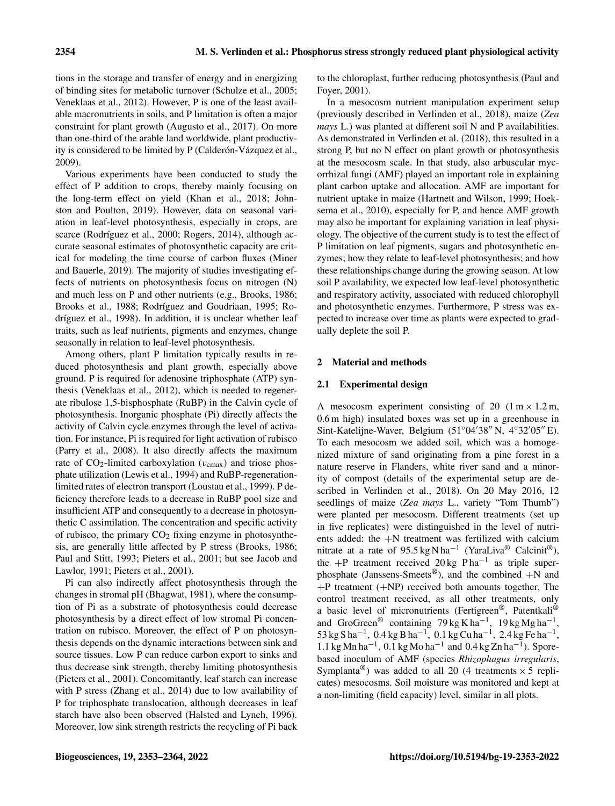tions in the storage and transfer of energy and in energizing of binding sites for metabolic turnover (Schulze et al., 2005; Veneklaas et al., 2012). However, P is one of the least available macronutrients in soils, and P limitation is often a major constraint for plant growth (Augusto et al., 2017). On more than one-third of the arable land worldwide, plant productivity is considered to be limited by P (Calderón-Vázquez et al., 2009).

Various experiments have been conducted to study the effect of P addition to crops, thereby mainly focusing on the long-term effect on yield (Khan et al., 2018; Johnston and Poulton, 2019). However, data on seasonal variation in leaf-level photosynthesis, especially in crops, are scarce (Rodríguez et al., 2000; Rogers, 2014), although accurate seasonal estimates of photosynthetic capacity are critical for modeling the time course of carbon fluxes (Miner and Bauerle, 2019). The majority of studies investigating effects of nutrients on photosynthesis focus on nitrogen (N) and much less on P and other nutrients (e.g., Brooks, 1986; Brooks et al., 1988; Rodríguez and Goudriaan, 1995; Rodríguez et al., 1998). In addition, it is unclear whether leaf traits, such as leaf nutrients, pigments and enzymes, change seasonally in relation to leaf-level photosynthesis.

Among others, plant P limitation typically results in reduced photosynthesis and plant growth, especially above ground. P is required for adenosine triphosphate (ATP) synthesis (Veneklaas et al., 2012), which is needed to regenerate ribulose 1,5-bisphosphate (RuBP) in the Calvin cycle of photosynthesis. Inorganic phosphate (Pi) directly affects the activity of Calvin cycle enzymes through the level of activation. For instance, Pi is required for light activation of rubisco (Parry et al., 2008). It also directly affects the maximum rate of  $CO_2$ -limited carboxylation ( $v_{\text{cmax}}$ ) and triose phosphate utilization (Lewis et al., 1994) and RuBP-regenerationlimited rates of electron transport (Loustau et al., 1999). P deficiency therefore leads to a decrease in RuBP pool size and insufficient ATP and consequently to a decrease in photosynthetic C assimilation. The concentration and specific activity of rubisco, the primary  $CO<sub>2</sub>$  fixing enzyme in photosynthesis, are generally little affected by P stress (Brooks, 1986; Paul and Stitt, 1993; Pieters et al., 2001; but see Jacob and Lawlor, 1991; Pieters et al., 2001).

Pi can also indirectly affect photosynthesis through the changes in stromal pH (Bhagwat, 1981), where the consumption of Pi as a substrate of photosynthesis could decrease photosynthesis by a direct effect of low stromal Pi concentration on rubisco. Moreover, the effect of P on photosynthesis depends on the dynamic interactions between sink and source tissues. Low P can reduce carbon export to sinks and thus decrease sink strength, thereby limiting photosynthesis (Pieters et al., 2001). Concomitantly, leaf starch can increase with P stress (Zhang et al., 2014) due to low availability of P for triphosphate translocation, although decreases in leaf starch have also been observed (Halsted and Lynch, 1996). Moreover, low sink strength restricts the recycling of Pi back to the chloroplast, further reducing photosynthesis (Paul and Foyer, 2001).

In a mesocosm nutrient manipulation experiment setup (previously described in Verlinden et al., 2018), maize (*Zea mays* L.) was planted at different soil N and P availabilities. As demonstrated in Verlinden et al. (2018), this resulted in a strong P, but no N effect on plant growth or photosynthesis at the mesocosm scale. In that study, also arbuscular mycorrhizal fungi (AMF) played an important role in explaining plant carbon uptake and allocation. AMF are important for nutrient uptake in maize (Hartnett and Wilson, 1999; Hoeksema et al., 2010), especially for P, and hence AMF growth may also be important for explaining variation in leaf physiology. The objective of the current study is to test the effect of P limitation on leaf pigments, sugars and photosynthetic enzymes; how they relate to leaf-level photosynthesis; and how these relationships change during the growing season. At low soil P availability, we expected low leaf-level photosynthetic and respiratory activity, associated with reduced chlorophyll and photosynthetic enzymes. Furthermore, P stress was expected to increase over time as plants were expected to gradually deplete the soil P.

# 2 Material and methods

# 2.1 Experimental design

A mesocosm experiment consisting of 20  $(1 \text{ m} \times 1.2 \text{ m}$ , 0.6 m high) insulated boxes was set up in a greenhouse in Sint-Katelijne-Waver, Belgium ( $51°04'38''$  N,  $4°32'05''$  E). To each mesocosm we added soil, which was a homogenized mixture of sand originating from a pine forest in a nature reserve in Flanders, white river sand and a minority of compost (details of the experimental setup are described in Verlinden et al., 2018). On 20 May 2016, 12 seedlings of maize (*Zea mays* L., variety "Tom Thumb") were planted per mesocosm. Different treatments (set up in five replicates) were distinguished in the level of nutrients added: the +N treatment was fertilized with calcium nitrate at a rate of 95.5 kg N ha<sup>-1</sup> (YaraLiva® Calcinit®), the +P treatment received 20 kg P ha<sup>-1</sup> as triple superphosphate (Janssens-Smeets<sup>®</sup>), and the combined  $+N$  and  $+P$  treatment  $(+NP)$  received both amounts together. The control treatment received, as all other treatments, only a basic level of micronutrients (Fertigreen®, Patentkali® and GroGreen<sup>®</sup> containing  $79 \text{ kg K} \text{ ha}^{-1}$ ,  $19 \text{ kg Mg} \text{ ha}^{-1}$ ,  $53 \text{ kg S} \text{ ha}^{-1}$ ,  $0.4 \text{ kg B} \text{ ha}^{-1}$ ,  $0.1 \text{ kg C} \text{u} \text{ ha}^{-1}$ ,  $2.4 \text{ kg Fe} \text{ ha}^{-1}$ , 1.1 kg Mn ha<sup>-1</sup>, 0.1 kg Mo ha<sup>-1</sup> and 0.4 kg Zn ha<sup>-1</sup>). Sporebased inoculum of AMF (species *Rhizophagus irregularis*, Symplanta<sup>®</sup>) was added to all 20 (4 treatments  $\times$  5 replicates) mesocosms. Soil moisture was monitored and kept at a non-limiting (field capacity) level, similar in all plots.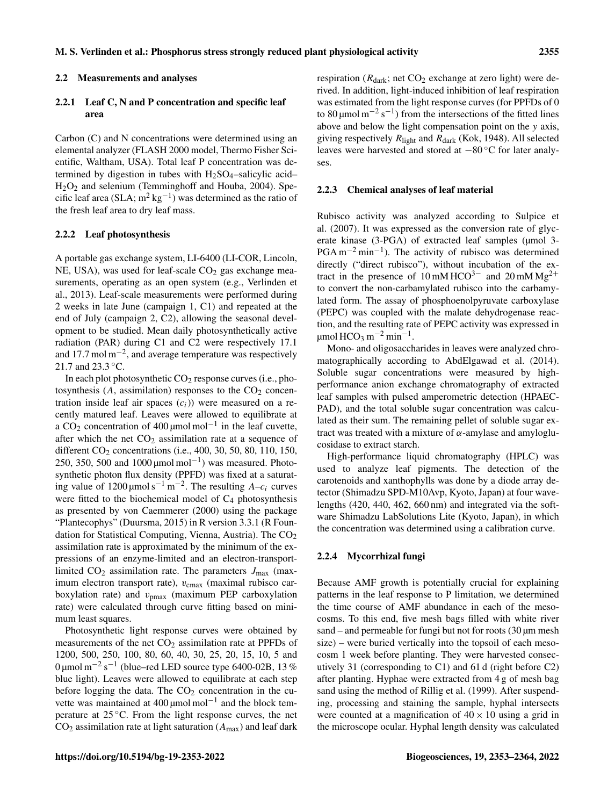#### 2.2 Measurements and analyses

## 2.2.1 Leaf C, N and P concentration and specific leaf area

Carbon (C) and N concentrations were determined using an elemental analyzer (FLASH 2000 model, Thermo Fisher Scientific, Waltham, USA). Total leaf P concentration was determined by digestion in tubes with  $H_2SO_4$ –salicylic acid– H2O<sup>2</sup> and selenium (Temminghoff and Houba, 2004). Specific leaf area (SLA;  $m^2$  kg<sup>-1</sup>) was determined as the ratio of the fresh leaf area to dry leaf mass.

#### 2.2.2 Leaf photosynthesis

A portable gas exchange system, LI-6400 (LI-COR, Lincoln, NE, USA), was used for leaf-scale  $CO<sub>2</sub>$  gas exchange measurements, operating as an open system (e.g., Verlinden et al., 2013). Leaf-scale measurements were performed during 2 weeks in late June (campaign 1, C1) and repeated at the end of July (campaign 2, C2), allowing the seasonal development to be studied. Mean daily photosynthetically active radiation (PAR) during C1 and C2 were respectively 17.1 and 17.7 mol  $m^{-2}$ , and average temperature was respectively 21.7 and 23.3 °C.

In each plot photosynthetic  $CO<sub>2</sub>$  response curves (i.e., photosynthesis  $(A,$  assimilation) responses to the  $CO<sub>2</sub>$  concentration inside leaf air spaces  $(c_i)$ ) were measured on a recently matured leaf. Leaves were allowed to equilibrate at a CO<sub>2</sub> concentration of 400 µmol mol<sup>-1</sup> in the leaf cuvette, after which the net  $CO<sub>2</sub>$  assimilation rate at a sequence of different CO<sub>2</sub> concentrations (i.e., 400, 30, 50, 80, 110, 150, 250, 350, 500 and  $1000 \mu$ mol mol<sup>-1</sup>) was measured. Photosynthetic photon flux density (PPFD) was fixed at a saturating value of 1200 µmol s<sup>-1</sup> m<sup>-2</sup>. The resulting  $A-c_i$  curves were fitted to the biochemical model of  $C_4$  photosynthesis as presented by von Caemmerer (2000) using the package "Plantecophys" (Duursma, 2015) in R version 3.3.1 (R Foundation for Statistical Computing, Vienna, Austria). The  $CO<sub>2</sub>$ assimilation rate is approximated by the minimum of the expressions of an enzyme-limited and an electron-transportlimited  $CO_2$  assimilation rate. The parameters  $J_{\text{max}}$  (maximum electron transport rate),  $v_{\text{cmax}}$  (maximal rubisco carboxylation rate) and  $v_{\text{pmax}}$  (maximum PEP carboxylation rate) were calculated through curve fitting based on minimum least squares.

Photosynthetic light response curves were obtained by measurements of the net  $CO<sub>2</sub>$  assimilation rate at PPFDs of 1200, 500, 250, 100, 80, 60, 40, 30, 25, 20, 15, 10, 5 and  $0 \mu$ mol m<sup>-2</sup> s<sup>-1</sup> (blue–red LED source type 6400-02B, 13 % blue light). Leaves were allowed to equilibrate at each step before logging the data. The  $CO<sub>2</sub>$  concentration in the cuvette was maintained at 400 μmol mol<sup>-1</sup> and the block temperature at 25 ◦C. From the light response curves, the net  $CO<sub>2</sub>$  assimilation rate at light saturation ( $A<sub>max</sub>$ ) and leaf dark respiration ( $R_{dark}$ ; net  $CO<sub>2</sub>$  exchange at zero light) were derived. In addition, light-induced inhibition of leaf respiration was estimated from the light response curves (for PPFDs of 0 to 80 µmol m<sup>-2</sup> s<sup>-1</sup>) from the intersections of the fitted lines above and below the light compensation point on the y axis, giving respectively  $R_{\text{light}}$  and  $R_{\text{dark}}$  (Kok, 1948). All selected leaves were harvested and stored at −80 ◦C for later analyses.

#### 2.2.3 Chemical analyses of leaf material

Rubisco activity was analyzed according to Sulpice et al. (2007). It was expressed as the conversion rate of glycerate kinase (3-PGA) of extracted leaf samples (µmol 3- $PGA m^{-2} min^{-1}$ ). The activity of rubisco was determined directly ("direct rubisco"), without incubation of the extract in the presence of 10 mM HCO<sup>3−</sup> and 20 mM Mg<sup>2+</sup> to convert the non-carbamylated rubisco into the carbamylated form. The assay of phosphoenolpyruvate carboxylase (PEPC) was coupled with the malate dehydrogenase reaction, and the resulting rate of PEPC activity was expressed in  $\mu$ mol HCO<sub>3</sub> m<sup>-2</sup> min<sup>-1</sup>.

Mono- and oligosaccharides in leaves were analyzed chromatographically according to AbdElgawad et al. (2014). Soluble sugar concentrations were measured by highperformance anion exchange chromatography of extracted leaf samples with pulsed amperometric detection (HPAEC-PAD), and the total soluble sugar concentration was calculated as their sum. The remaining pellet of soluble sugar extract was treated with a mixture of  $\alpha$ -amylase and amyloglucosidase to extract starch.

High-performance liquid chromatography (HPLC) was used to analyze leaf pigments. The detection of the carotenoids and xanthophylls was done by a diode array detector (Shimadzu SPD-M10Avp, Kyoto, Japan) at four wavelengths (420, 440, 462, 660 nm) and integrated via the software Shimadzu LabSolutions Lite (Kyoto, Japan), in which the concentration was determined using a calibration curve.

## 2.2.4 Mycorrhizal fungi

Because AMF growth is potentially crucial for explaining patterns in the leaf response to P limitation, we determined the time course of AMF abundance in each of the mesocosms. To this end, five mesh bags filled with white river sand – and permeable for fungi but not for roots  $(30 \mu m \text{ mesh})$ size) – were buried vertically into the topsoil of each mesocosm 1 week before planting. They were harvested consecutively 31 (corresponding to C1) and 61 d (right before C2) after planting. Hyphae were extracted from 4 g of mesh bag sand using the method of Rillig et al. (1999). After suspending, processing and staining the sample, hyphal intersects were counted at a magnification of  $40 \times 10$  using a grid in the microscope ocular. Hyphal length density was calculated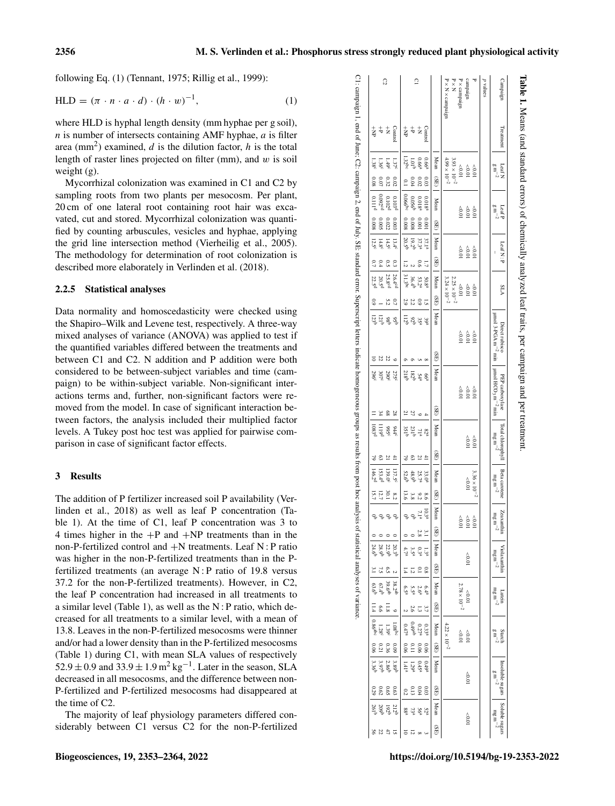following Eq. (1) (Tennant, 1975; Rillig et al., 1999):

$$
HLD = (\pi \cdot n \cdot a \cdot d) \cdot (h \cdot w)^{-1}, \tag{1}
$$

where HLD is hyphal length density (mm hyphae per g soil),  $n$  is number of intersects containing AMF hyphae,  $a$  is filter area (mm<sup>2</sup>) examined,  $d$  is the dilution factor,  $h$  is the total length of raster lines projected on filter (mm), and  $w$  is soil weight (g).

Mycorrhizal colonization was examined in C1 and C2 by sampling roots from two plants per mesocosm. Per plant, 20 cm of one lateral root containing root hair was excavated, cut and stored. Mycorrhizal colonization was quantified by counting arbuscules, vesicles and hyphae, applying the grid line intersection method (Vierheilig et al., 2005). The methodology for determination of root colonization is described more elaborately in Verlinden et al. (2018).

## 2.2.5 Statistical analyses

Data normality and homoscedasticity were checked using the Shapiro–Wilk and Levene test, respectively. A three-way mixed analyses of variance (ANOVA) was applied to test if the quantified variables differed between the treatments and between C1 and C2. N addition and P addition were both considered to be between-subject variables and time (campaign) to be within-subject variable. Non-significant interactions terms and, further, non-significant factors were removed from the model. In case of significant interaction between factors, the analysis included their multiplied factor levels. A Tukey post hoc test was applied for pairwise comparison in case of significant factor effects.

#### 3 Results

The addition of P fertilizer increased soil P availability (Verlinden et al., 2018) as well as leaf P concentration (Table 1). At the time of C1, leaf P concentration was 3 to 4 times higher in the  $+P$  and  $+NP$  treatments than in the non-P-fertilized control and +N treatments. Leaf N : P ratio was higher in the non-P-fertilized treatments than in the Pfertilized treatments (an average N : P ratio of 19.8 versus 37.2 for the non-P-fertilized treatments). However, in C2, the leaf P concentration had increased in all treatments to a similar level (Table 1), as well as the N : P ratio, which decreased for all treatments to a similar level, with a mean of 13.8. Leaves in the non-P-fertilized mesocosms were thinner and/or had a lower density than in the P-fertilized mesocosms (Table 1) during C1, with mean SLA values of respectively  $52.9 \pm 0.9$  and  $33.9 \pm 1.9$  m<sup>2</sup> kg<sup>-1</sup>. Later in the season, SLA decreased in all mesocosms, and the difference between non-P-fertilized and P-fertilized mesocosms had disappeared at the time of C2.

The majority of leaf physiology parameters differed considerably between C1 versus C2 for the non-P-fertilized

| Campaign                                                                                                                                                                 | Treatment                     | Leaf N<br>$_{\rm g m}^{-2}$                    |                  | $\begin{array}{c} \textbf{Leaf} \textbf{P} \\ \textbf{g} \textbf{m}^{-2} \end{array}$ |              | Leaf N: P                |                | <b>ALA</b>                                                   |                                           | µmol 3-PGA m <sup>-2</sup> min<br>Direct rubisco | $\mu$ mol HCO <sub>3</sub> m <sup>-2</sup> min<br>PEP carboxylase |           | Total chlorophyll<br>$\rm m g\,m^{-2}$                                |               | Beta carotene<br>$\rm m g\,m^{-2}$       |            | $\begin{tabular}{c} Zeavanlin \\ mg\ m^{-2} \\ \end{tabular}$ |                                                      | Violaxanthin<br>$\rm m g\,m^{-2}$    |                       | $\rm m g\,m^{-2}$<br>Lutein                       |                 | $\frac{\mbox{Starch}}{\mbox{g\,m}^{-2}}$ |                                                     | 1 Insoluble sugars $\begin{bmatrix} \text{Soluble suggest} \\ \text{g m}^{-2} \end{bmatrix}$ Soluble sugars |                   |                 |          |
|--------------------------------------------------------------------------------------------------------------------------------------------------------------------------|-------------------------------|------------------------------------------------|------------------|---------------------------------------------------------------------------------------|--------------|--------------------------|----------------|--------------------------------------------------------------|-------------------------------------------|--------------------------------------------------|-------------------------------------------------------------------|-----------|-----------------------------------------------------------------------|---------------|------------------------------------------|------------|---------------------------------------------------------------|------------------------------------------------------|--------------------------------------|-----------------------|---------------------------------------------------|-----------------|------------------------------------------|-----------------------------------------------------|-------------------------------------------------------------------------------------------------------------|-------------------|-----------------|----------|
| p values                                                                                                                                                                 |                               |                                                |                  |                                                                                       |              |                          |                |                                                              |                                           |                                                  |                                                                   |           |                                                                       |               |                                          |            |                                                               |                                                      |                                      |                       |                                                   |                 |                                          |                                                     |                                                                                                             |                   |                 |          |
|                                                                                                                                                                          |                               |                                                |                  | 10.0 <sub>5</sub>                                                                     |              |                          |                |                                                              |                                           |                                                  |                                                                   |           |                                                                       |               | $3.36\times10^{-2}$                      |            | $10.05$                                                       |                                                      |                                      |                       |                                                   |                 |                                          |                                                     |                                                                                                             |                   |                 |          |
| campaign                                                                                                                                                                 |                               | $\begin{array}{c}\n 0.0 \\  0.0\n \end{array}$ |                  | $10.05$                                                                               |              |                          |                | 0.001                                                        |                                           | 10.05                                            | $^{+0.05}_{-0.01}$                                                |           | $\begin{array}{c}\n\wedge \\ \wedge \\ \wedge \\ \wedge\n\end{array}$ |               | 10.05                                    |            | 10.0 <sub>5</sub>                                             |                                                      | 10.01                                |                       | $100^{\circ}$                                     |                 | 10.0 <sub>5</sub>                        |                                                     | 10.01                                                                                                       |                   | 10.01           |          |
| $\geq$ × campaign                                                                                                                                                        |                               | $10.01$                                        |                  | 10.01                                                                                 |              |                          |                | $10.05$                                                      |                                           | 10.01                                            | 10.01                                                             |           |                                                                       |               |                                          |            | 10.01                                                         |                                                      |                                      |                       | $2.78\times10^{-2}$                               |                 | 10.01                                    |                                                     |                                                                                                             |                   |                 |          |
| $\mathbb{R} \times \mathbb{R}$                                                                                                                                           |                               | $3.93\times10^{-2}$                            |                  |                                                                                       |              |                          |                | $2.25\times10^{-2}$                                          |                                           |                                                  |                                                                   |           |                                                                       |               |                                          |            |                                                               |                                                      |                                      |                       |                                                   |                 |                                          |                                                     |                                                                                                             |                   |                 |          |
| $P \times N \times$ campaign                                                                                                                                             |                               | $4.99 \times 10^{-2}$                          |                  |                                                                                       |              |                          |                | $3.24\times10^{-2}$                                          |                                           |                                                  |                                                                   |           |                                                                       |               |                                          |            |                                                               |                                                      |                                      |                       |                                                   |                 | $4.22\times10^{-2}$                      |                                                     |                                                                                                             |                   |                 |          |
|                                                                                                                                                                          |                               | Mean                                           | (BE)             | Mean                                                                                  | (SE)         | Mean                     | (SE)           | Mean                                                         | (BE)                                      | Mean<br>(SE)                                     | Mean                                                              | (BE)      | Mean                                                                  | (SE)          | Mean                                     | (BE)       | Mean                                                          | (SE)                                                 | Mean                                 | (SE)                  | Mean<br>(BE)                                      |                 | Mean<br>(BE)                             | Mean                                                | (SE)                                                                                                        | Mean              | (SE)            |          |
|                                                                                                                                                                          | Control                       | 0.66 <sup>a</sup>                              | 6.03             | 0.018 <sup>a</sup>                                                                    | 100.001      |                          | Ę              |                                                              | ί,                                        |                                                  |                                                                   |           |                                                                       | $\ddot{=}$    | 33.0 <sup>a</sup>                        | 9.8        | 10.3 <sup>a</sup>                                             |                                                      | 1.3ª                                 | 0.8                   | 6.4 <sup>a</sup>                                  | 3.7             | 0.33 <sup>a</sup><br>90'0                |                                                     | $0.49^{\rm a}$                                                                                              |                   |                 |          |
|                                                                                                                                                                          |                               |                                                | <b>CO</b> .02    | 0.018 <sup>a</sup>                                                                    | 1000         | 37.3.3.9.3<br>20.5.9.3.9 | 9.0            | 50.53<br>36.74 4 8.95                                        |                                           | ಕ್ಲಿ ಜ್ಞಿ ಕ್ಲಿ                                   | 6 $\frac{66}{34}$ $\frac{52}{182}$                                |           | $82\frac{7}{11}$<br>$25\frac{7}{5}$<br>$35\frac{1}{5}$                | Ľ             |                                          | $\sqrt{2}$ | 7.1 <sup>a</sup>                                              | $\begin{smallmatrix}3.1\\[-1mm]2.8\end{smallmatrix}$ | 0.3 <sup>a</sup>                     | $\overline{10}$       | $2.6^{\rm a}$                                     | $\overline{3}$  | 0.27 <sup>a</sup><br>90.0                |                                                     | $0.45^{\rm a}$<br>$\frac{0.03}{0.04}$                                                                       |                   | 52 se           | $\infty$ |
| $\overline{a}$                                                                                                                                                           | $_{\rm v}^{+}$ $_{\rm z}^{+}$ | 0.6 <sup>a</sup>                               | P <sub>0.0</sub> | 0.056 <sup>b</sup>                                                                    | 8000         |                          |                |                                                              | $\begin{array}{c} 0.9 \\ 2.2 \end{array}$ |                                                  |                                                                   | 27        |                                                                       | c3            | 25.7ª<br>48.9 <sup>b</sup>               | 3.8        | ę                                                             |                                                      | 3.5ª                                 |                       | 2.6                                               | $0.49^{\rm ab}$ | $\overline{110}$                         |                                                     | 1.29 <sup>a</sup><br>0.13                                                                                   |                   |                 | 12       |
|                                                                                                                                                                          | 专                             | $1.32^{bc}$                                    |                  | $10066^{\rm bc}$                                                                      | 8000         |                          |                |                                                              | 2.9                                       | ll2b                                             |                                                                   |           |                                                                       | $\frac{6}{5}$ | 52.6 <sup>b</sup>                        | 13.6       | ್ಕ                                                            |                                                      | 4.78                                 |                       | 6.5 <sup>a</sup>                                  |                 | $0.47^{\rm a}$                           | $0.06$   1.41 <sup>a</sup>                          | 0.2                                                                                                         |                   | 88 <sub>g</sub> |          |
|                                                                                                                                                                          | Control                       | 1.37°                                          | 0.02             | 0.103 <sup>d</sup>                                                                    | 0.003        | $13.4^{\circ}$           | $\tilde{c}$    |                                                              | 0.7                                       | $\circ$                                          | 275°                                                              | 28        | $\frac{1}{2}$                                                         | $\ddot{=}$    | 137.5°                                   | $\sqrt{2}$ | ę                                                             | $\circ$                                              | 20.3 <sup>b</sup>                    |                       |                                                   |                 | 1.08 <sup>bc</sup><br>$60^\circ$         |                                                     | $6.63\,$                                                                                                    | 212 <sup>t</sup>  |                 |          |
| C                                                                                                                                                                        | $\frac{1}{\mathbf{Z}}$        | $1.49^{\circ}$                                 | 0.32             | 0.102 <sup>d</sup>                                                                    | 0.022        | $14.5^\circ$             | $\overline{c}$ | $\begin{bmatrix} 26.4 \\ 25.8 \\ 20.5 \\ 22.5 \end{bmatrix}$ |                                           | ន្ត ខ្ពុំ ដូ<br>22                               | 2906                                                              | 89        | 566                                                                   | Ľ             | 139.0°                                   | 1.05       | ę                                                             |                                                      | 22.9 <sup>b</sup>                    | $\tilde{\mathcal{S}}$ | $38.2ab$<br>$39.6ab$<br>$67.4b$<br>$\frac{8}{11}$ |                 | 1.39°<br>0.36                            | $\begin{array}{r} 3.89 \\ 2.86 \\ 3.97 \end{array}$ | 6.65                                                                                                        | $\frac{192}{209}$ |                 | $47$     |
|                                                                                                                                                                          | $\ddot{t}$                    | 1.36°                                          | <b>LO'0</b>      | $0.092^{\rm{eq}}$                                                                     | <b>6.005</b> | 14.8 <sup>c</sup>        | $^{+0}$        |                                                              |                                           | 22                                               | 307°                                                              | $\approx$ | $-1119d$                                                              | ස             | 153.4 <sup>d</sup><br>146.2 <sup>d</sup> | 12.7       | $\mathsf{G}$                                                  |                                                      | 28.9 <sup>b</sup>                    |                       | 99                                                |                 | 1.28 <sup>c</sup><br>0.21                |                                                     | 0.62                                                                                                        |                   |                 |          |
|                                                                                                                                                                          | 专                             | $1.38^{\circ}$                                 | 800              | $0.111^{\circ}$                                                                       | 8000         | 12.5 <sup>c</sup>        | $\overline{C}$ |                                                              | $^{6.9}$                                  |                                                  | 296                                                               |           | 1083 <sub>d</sub>                                                     | 3             |                                          | 15.7       | ್ಕ                                                            |                                                      | 24.6 <sup>b</sup>                    | $\tilde{5}$           | 63.6 <sup>b</sup><br>11.4                         | $0.86$ abc      | 90°0                                     | 3.36                                                | 0.29                                                                                                        | 261 <sup>b</sup>  |                 | 95       |
| C1: campaign 1, end of June; C2: campaign 2, end of July, SE: standard error. Superscript letters indicate homogeneous groups as results from post June; C2: campaign 2. |                               |                                                |                  |                                                                                       |              |                          |                |                                                              |                                           |                                                  |                                                                   |           |                                                                       |               |                                          |            |                                                               |                                                      | of statistical analyses of variance. |                       |                                                   |                 |                                          |                                                     |                                                                                                             |                   |                 |          |

Table 1. Means (and standard errors) of chemically analyzed leaf traits, per campaign and per treatment Means (and standard errors) of chemically analyzed leaf traits, per campaign and per treatment.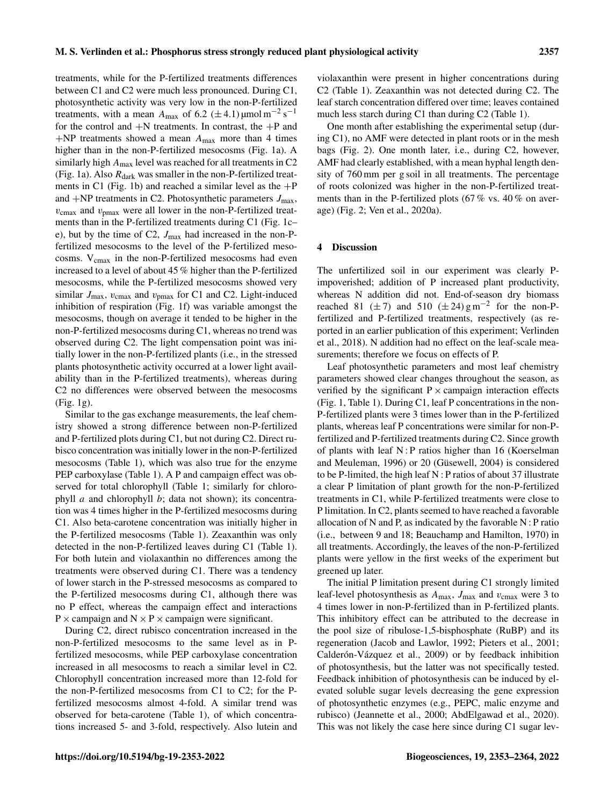treatments, while for the P-fertilized treatments differences between C1 and C2 were much less pronounced. During C1, photosynthetic activity was very low in the non-P-fertilized treatments, with a mean  $A_{\text{max}}$  of 6.2 ( $\pm$  4.1) µmol m<sup>-2</sup> s<sup>-1</sup> for the control and +N treatments. In contrast, the +P and  $+NP$  treatments showed a mean  $A_{\text{max}}$  more than 4 times higher than in the non-P-fertilized mesocosms (Fig. 1a). A similarly high  $A_{\text{max}}$  level was reached for all treatments in C2 (Fig. 1a). Also  $R_{dark}$  was smaller in the non-P-fertilized treatments in C1 (Fig. 1b) and reached a similar level as the  $+P$ and  $+NP$  treatments in C2. Photosynthetic parameters  $J_{\text{max}}$ ,  $v_{\text{cmax}}$  and  $v_{\text{cmax}}$  were all lower in the non-P-fertilized treatments than in the P-fertilized treatments during C1 (Fig. 1c– e), but by the time of C2,  $J_{\text{max}}$  had increased in the non-Pfertilized mesocosms to the level of the P-fertilized mesocosms.  $V_{\text{cmax}}$  in the non-P-fertilized mesocosms had even increased to a level of about 45 % higher than the P-fertilized mesocosms, while the P-fertilized mesocosms showed very similar  $J_{\text{max}}$ ,  $v_{\text{cmax}}$  and  $v_{\text{pmax}}$  for C1 and C2. Light-induced inhibition of respiration (Fig. 1f) was variable amongst the mesocosms, though on average it tended to be higher in the non-P-fertilized mesocosms during C1, whereas no trend was observed during C2. The light compensation point was initially lower in the non-P-fertilized plants (i.e., in the stressed plants photosynthetic activity occurred at a lower light availability than in the P-fertilized treatments), whereas during C2 no differences were observed between the mesocosms (Fig. 1g).

Similar to the gas exchange measurements, the leaf chemistry showed a strong difference between non-P-fertilized and P-fertilized plots during C1, but not during C2. Direct rubisco concentration was initially lower in the non-P-fertilized mesocosms (Table 1), which was also true for the enzyme PEP carboxylase (Table 1). A P and campaign effect was observed for total chlorophyll (Table 1; similarly for chlorophyll  $a$  and chlorophyll  $b$ ; data not shown); its concentration was 4 times higher in the P-fertilized mesocosms during C1. Also beta-carotene concentration was initially higher in the P-fertilized mesocosms (Table 1). Zeaxanthin was only detected in the non-P-fertilized leaves during C1 (Table 1). For both lutein and violaxanthin no differences among the treatments were observed during C1. There was a tendency of lower starch in the P-stressed mesocosms as compared to the P-fertilized mesocosms during C1, although there was no P effect, whereas the campaign effect and interactions  $P \times$  campaign and  $N \times P \times$  campaign were significant.

During C2, direct rubisco concentration increased in the non-P-fertilized mesocosms to the same level as in Pfertilized mesocosms, while PEP carboxylase concentration increased in all mesocosms to reach a similar level in C2. Chlorophyll concentration increased more than 12-fold for the non-P-fertilized mesocosms from C1 to C2; for the Pfertilized mesocosms almost 4-fold. A similar trend was observed for beta-carotene (Table 1), of which concentrations increased 5- and 3-fold, respectively. Also lutein and violaxanthin were present in higher concentrations during C2 (Table 1). Zeaxanthin was not detected during C2. The leaf starch concentration differed over time; leaves contained much less starch during C1 than during C2 (Table 1).

One month after establishing the experimental setup (during C1), no AMF were detected in plant roots or in the mesh bags (Fig. 2). One month later, i.e., during C2, however, AMF had clearly established, with a mean hyphal length density of 760 mm per g soil in all treatments. The percentage of roots colonized was higher in the non-P-fertilized treatments than in the P-fertilized plots (67 % vs. 40 % on average) (Fig. 2; Ven et al., 2020a).

#### 4 Discussion

The unfertilized soil in our experiment was clearly Pimpoverished; addition of P increased plant productivity, whereas N addition did not. End-of-season dry biomass reached 81 ( $\pm$  7) and 510 ( $\pm$  24) g m<sup>-2</sup> for the non-Pfertilized and P-fertilized treatments, respectively (as reported in an earlier publication of this experiment; Verlinden et al., 2018). N addition had no effect on the leaf-scale measurements; therefore we focus on effects of P.

Leaf photosynthetic parameters and most leaf chemistry parameters showed clear changes throughout the season, as verified by the significant  $P \times$  campaign interaction effects (Fig. 1, Table 1). During C1, leaf P concentrations in the non-P-fertilized plants were 3 times lower than in the P-fertilized plants, whereas leaf P concentrations were similar for non-Pfertilized and P-fertilized treatments during C2. Since growth of plants with leaf N : P ratios higher than 16 (Koerselman and Meuleman, 1996) or 20 (Güsewell, 2004) is considered to be P-limited, the high leaf N : P ratios of about 37 illustrate a clear P limitation of plant growth for the non-P-fertilized treatments in C1, while P-fertilized treatments were close to P limitation. In C2, plants seemed to have reached a favorable allocation of N and P, as indicated by the favorable  $N : P$  ratio (i.e., between 9 and 18; Beauchamp and Hamilton, 1970) in all treatments. Accordingly, the leaves of the non-P-fertilized plants were yellow in the first weeks of the experiment but greened up later.

The initial P limitation present during C1 strongly limited leaf-level photosynthesis as  $A_{\text{max}}$ ,  $J_{\text{max}}$  and  $v_{\text{cmax}}$  were 3 to 4 times lower in non-P-fertilized than in P-fertilized plants. This inhibitory effect can be attributed to the decrease in the pool size of ribulose-1,5-bisphosphate (RuBP) and its regeneration (Jacob and Lawlor, 1992; Pieters et al., 2001; Calderón-Vázquez et al., 2009) or by feedback inhibition of photosynthesis, but the latter was not specifically tested. Feedback inhibition of photosynthesis can be induced by elevated soluble sugar levels decreasing the gene expression of photosynthetic enzymes (e.g., PEPC, malic enzyme and rubisco) (Jeannette et al., 2000; AbdElgawad et al., 2020). This was not likely the case here since during C1 sugar lev-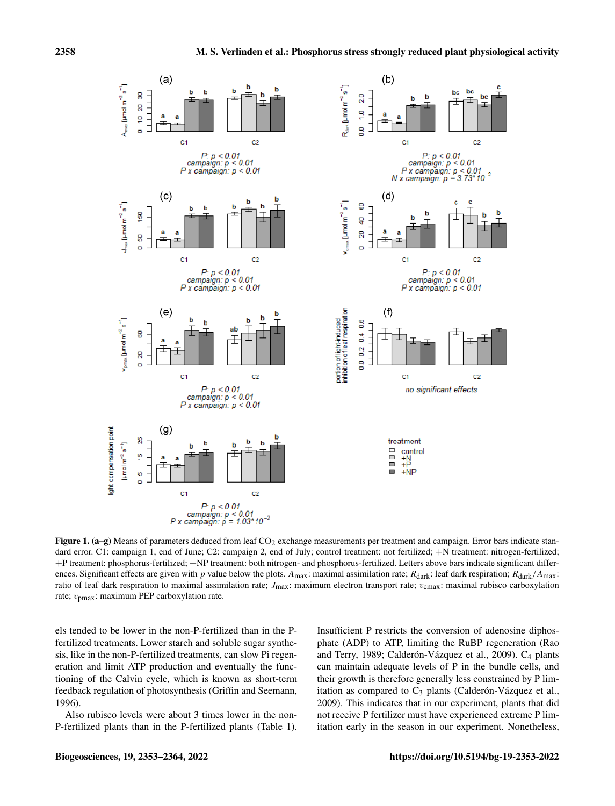

Figure 1. (a–g) Means of parameters deduced from leaf  $CO<sub>2</sub>$  exchange measurements per treatment and campaign. Error bars indicate standard error. C1: campaign 1, end of June; C2: campaign 2, end of July; control treatment: not fertilized; +N treatment: nitrogen-fertilized; +P treatment: phosphorus-fertilized; +NP treatment: both nitrogen- and phosphorus-fertilized. Letters above bars indicate significant differences. Significant effects are given with p value below the plots.  $A_{\text{max}}$ : maximal assimilation rate;  $R_{\text{dark}}$ ; leaf dark respiration;  $R_{\text{dark}}/A_{\text{max}}$ : ratio of leaf dark respiration to maximal assimilation rate;  $J_{\text{max}}$ : maximum electron transport rate;  $v_{\text{cmax}}$ : maximal rubisco carboxylation rate;  $v_{\text{pmax}}$ : maximum PEP carboxylation rate.

els tended to be lower in the non-P-fertilized than in the Pfertilized treatments. Lower starch and soluble sugar synthesis, like in the non-P-fertilized treatments, can slow Pi regeneration and limit ATP production and eventually the functioning of the Calvin cycle, which is known as short-term feedback regulation of photosynthesis (Griffin and Seemann, 1996).

Also rubisco levels were about 3 times lower in the non-P-fertilized plants than in the P-fertilized plants (Table 1). Insufficient P restricts the conversion of adenosine diphosphate (ADP) to ATP, limiting the RuBP regeneration (Rao and Terry, 1989; Calderón-Vázquez et al., 2009). C<sub>4</sub> plants can maintain adequate levels of P in the bundle cells, and their growth is therefore generally less constrained by P limitation as compared to  $C_3$  plants (Calderón-Vázquez et al., 2009). This indicates that in our experiment, plants that did not receive P fertilizer must have experienced extreme P limitation early in the season in our experiment. Nonetheless,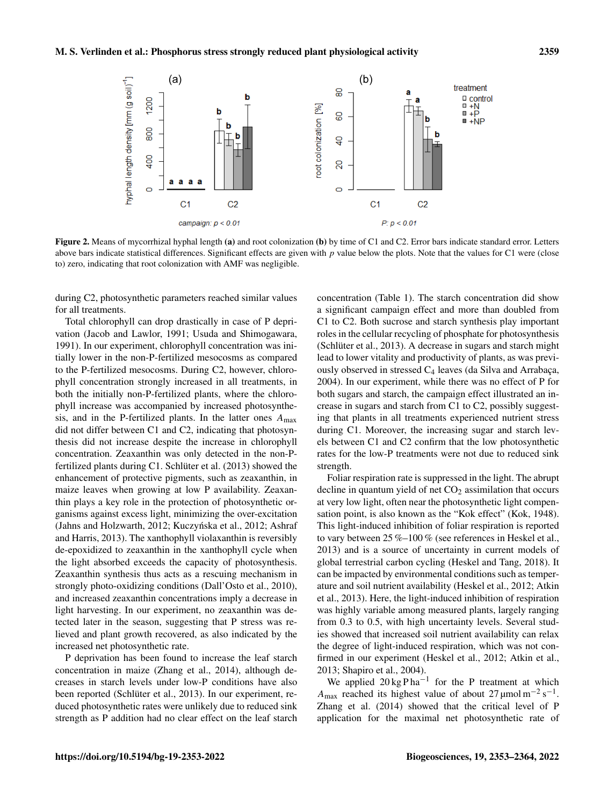

Figure 2. Means of mycorrhizal hyphal length (a) and root colonization (b) by time of C1 and C2. Error bars indicate standard error. Letters above bars indicate statistical differences. Significant effects are given with p value below the plots. Note that the values for C1 were (close to) zero, indicating that root colonization with AMF was negligible.

during C2, photosynthetic parameters reached similar values for all treatments.

Total chlorophyll can drop drastically in case of P deprivation (Jacob and Lawlor, 1991; Usuda and Shimogawara, 1991). In our experiment, chlorophyll concentration was initially lower in the non-P-fertilized mesocosms as compared to the P-fertilized mesocosms. During C2, however, chlorophyll concentration strongly increased in all treatments, in both the initially non-P-fertilized plants, where the chlorophyll increase was accompanied by increased photosynthesis, and in the P-fertilized plants. In the latter ones  $A_{\text{max}}$ did not differ between C1 and C2, indicating that photosynthesis did not increase despite the increase in chlorophyll concentration. Zeaxanthin was only detected in the non-Pfertilized plants during C1. Schlüter et al. (2013) showed the enhancement of protective pigments, such as zeaxanthin, in maize leaves when growing at low P availability. Zeaxanthin plays a key role in the protection of photosynthetic organisms against excess light, minimizing the over-excitation (Jahns and Holzwarth, 2012; Kuczyńska et al., 2012; Ashraf and Harris, 2013). The xanthophyll violaxanthin is reversibly de-epoxidized to zeaxanthin in the xanthophyll cycle when the light absorbed exceeds the capacity of photosynthesis. Zeaxanthin synthesis thus acts as a rescuing mechanism in strongly photo-oxidizing conditions (Dall'Osto et al., 2010), and increased zeaxanthin concentrations imply a decrease in light harvesting. In our experiment, no zeaxanthin was detected later in the season, suggesting that P stress was relieved and plant growth recovered, as also indicated by the increased net photosynthetic rate.

P deprivation has been found to increase the leaf starch concentration in maize (Zhang et al., 2014), although decreases in starch levels under low-P conditions have also been reported (Schlüter et al., 2013). In our experiment, reduced photosynthetic rates were unlikely due to reduced sink strength as P addition had no clear effect on the leaf starch concentration (Table 1). The starch concentration did show a significant campaign effect and more than doubled from C1 to C2. Both sucrose and starch synthesis play important roles in the cellular recycling of phosphate for photosynthesis (Schlüter et al., 2013). A decrease in sugars and starch might lead to lower vitality and productivity of plants, as was previously observed in stressed  $C_4$  leaves (da Silva and Arrabaça, 2004). In our experiment, while there was no effect of P for both sugars and starch, the campaign effect illustrated an increase in sugars and starch from C1 to C2, possibly suggesting that plants in all treatments experienced nutrient stress during C1. Moreover, the increasing sugar and starch levels between C1 and C2 confirm that the low photosynthetic rates for the low-P treatments were not due to reduced sink strength.

Foliar respiration rate is suppressed in the light. The abrupt decline in quantum yield of net  $CO<sub>2</sub>$  assimilation that occurs at very low light, often near the photosynthetic light compensation point, is also known as the "Kok effect" (Kok, 1948). This light-induced inhibition of foliar respiration is reported to vary between 25 %–100 % (see references in Heskel et al., 2013) and is a source of uncertainty in current models of global terrestrial carbon cycling (Heskel and Tang, 2018). It can be impacted by environmental conditions such as temperature and soil nutrient availability (Heskel et al., 2012; Atkin et al., 2013). Here, the light-induced inhibition of respiration was highly variable among measured plants, largely ranging from 0.3 to 0.5, with high uncertainty levels. Several studies showed that increased soil nutrient availability can relax the degree of light-induced respiration, which was not confirmed in our experiment (Heskel et al., 2012; Atkin et al., 2013; Shapiro et al., 2004).

We applied  $20 \text{ kg} \text{ Pha}^{-1}$  for the P treatment at which A<sub>max</sub> reached its highest value of about 27 µmol m<sup>-2</sup> s<sup>-1</sup>. Zhang et al. (2014) showed that the critical level of P application for the maximal net photosynthetic rate of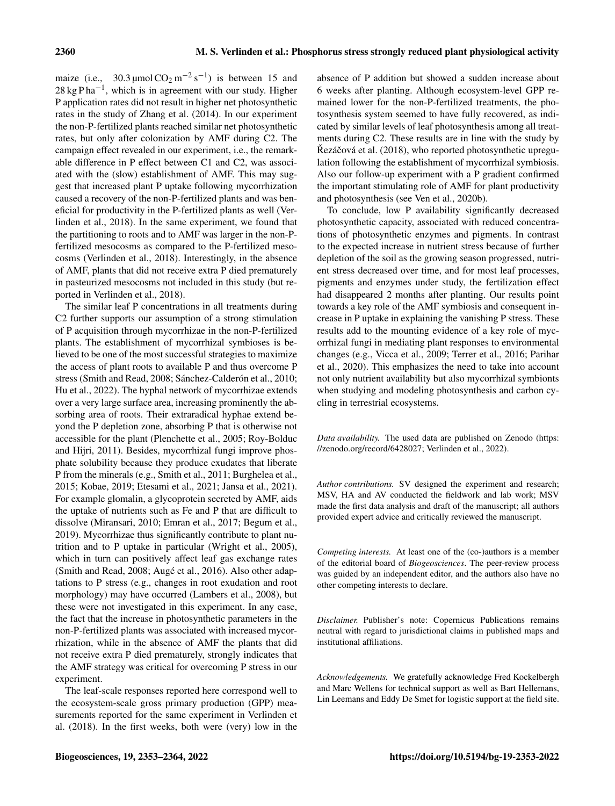maize (i.e.,  $30.3 \,\text{\mu}$ mol CO<sub>2</sub> m<sup>-2</sup> s<sup>-1</sup>) is between 15 and  $28 \text{ kg Pha}^{-1}$ , which is in agreement with our study. Higher P application rates did not result in higher net photosynthetic rates in the study of Zhang et al. (2014). In our experiment the non-P-fertilized plants reached similar net photosynthetic rates, but only after colonization by AMF during C2. The campaign effect revealed in our experiment, i.e., the remarkable difference in P effect between C1 and C2, was associated with the (slow) establishment of AMF. This may suggest that increased plant P uptake following mycorrhization caused a recovery of the non-P-fertilized plants and was beneficial for productivity in the P-fertilized plants as well (Verlinden et al., 2018). In the same experiment, we found that the partitioning to roots and to AMF was larger in the non-Pfertilized mesocosms as compared to the P-fertilized mesocosms (Verlinden et al., 2018). Interestingly, in the absence of AMF, plants that did not receive extra P died prematurely in pasteurized mesocosms not included in this study (but reported in Verlinden et al., 2018).

The similar leaf P concentrations in all treatments during C2 further supports our assumption of a strong stimulation of P acquisition through mycorrhizae in the non-P-fertilized plants. The establishment of mycorrhizal symbioses is believed to be one of the most successful strategies to maximize the access of plant roots to available P and thus overcome P stress (Smith and Read, 2008; Sánchez-Calderón et al., 2010; Hu et al., 2022). The hyphal network of mycorrhizae extends over a very large surface area, increasing prominently the absorbing area of roots. Their extraradical hyphae extend beyond the P depletion zone, absorbing P that is otherwise not accessible for the plant (Plenchette et al., 2005; Roy-Bolduc and Hijri, 2011). Besides, mycorrhizal fungi improve phosphate solubility because they produce exudates that liberate P from the minerals (e.g., Smith et al., 2011; Burghelea et al., 2015; Kobae, 2019; Etesami et al., 2021; Jansa et al., 2021). For example glomalin, a glycoprotein secreted by AMF, aids the uptake of nutrients such as Fe and P that are difficult to dissolve (Miransari, 2010; Emran et al., 2017; Begum et al., 2019). Mycorrhizae thus significantly contribute to plant nutrition and to P uptake in particular (Wright et al., 2005), which in turn can positively affect leaf gas exchange rates (Smith and Read, 2008; Augé et al., 2016). Also other adaptations to P stress (e.g., changes in root exudation and root morphology) may have occurred (Lambers et al., 2008), but these were not investigated in this experiment. In any case, the fact that the increase in photosynthetic parameters in the non-P-fertilized plants was associated with increased mycorrhization, while in the absence of AMF the plants that did not receive extra P died prematurely, strongly indicates that the AMF strategy was critical for overcoming P stress in our experiment.

The leaf-scale responses reported here correspond well to the ecosystem-scale gross primary production (GPP) measurements reported for the same experiment in Verlinden et al. (2018). In the first weeks, both were (very) low in the absence of P addition but showed a sudden increase about 6 weeks after planting. Although ecosystem-level GPP remained lower for the non-P-fertilized treatments, the photosynthesis system seemed to have fully recovered, as indicated by similar levels of leaf photosynthesis among all treatments during C2. These results are in line with the study by Rezáčová et al. (2018), who reported photosynthetic upregulation following the establishment of mycorrhizal symbiosis. Also our follow-up experiment with a P gradient confirmed the important stimulating role of AMF for plant productivity and photosynthesis (see Ven et al., 2020b).

To conclude, low P availability significantly decreased photosynthetic capacity, associated with reduced concentrations of photosynthetic enzymes and pigments. In contrast to the expected increase in nutrient stress because of further depletion of the soil as the growing season progressed, nutrient stress decreased over time, and for most leaf processes, pigments and enzymes under study, the fertilization effect had disappeared 2 months after planting. Our results point towards a key role of the AMF symbiosis and consequent increase in P uptake in explaining the vanishing P stress. These results add to the mounting evidence of a key role of mycorrhizal fungi in mediating plant responses to environmental changes (e.g., Vicca et al., 2009; Terrer et al., 2016; Parihar et al., 2020). This emphasizes the need to take into account not only nutrient availability but also mycorrhizal symbionts when studying and modeling photosynthesis and carbon cycling in terrestrial ecosystems.

*Data availability.* The used data are published on Zenodo [\(https:](https://zenodo.org/record/6428027) [//zenodo.org/record/6428027;](https://zenodo.org/record/6428027) Verlinden et al., 2022).

*Author contributions.* SV designed the experiment and research; MSV, HA and AV conducted the fieldwork and lab work; MSV made the first data analysis and draft of the manuscript; all authors provided expert advice and critically reviewed the manuscript.

*Competing interests.* At least one of the (co-)authors is a member of the editorial board of *Biogeosciences*. The peer-review process was guided by an independent editor, and the authors also have no other competing interests to declare.

*Disclaimer.* Publisher's note: Copernicus Publications remains neutral with regard to jurisdictional claims in published maps and institutional affiliations.

*Acknowledgements.* We gratefully acknowledge Fred Kockelbergh and Marc Wellens for technical support as well as Bart Hellemans, Lin Leemans and Eddy De Smet for logistic support at the field site.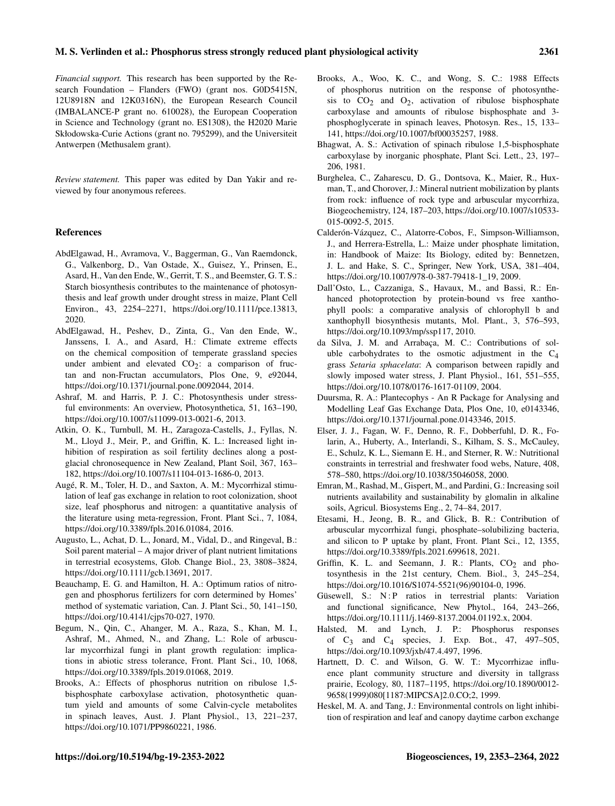*Financial support.* This research has been supported by the Research Foundation – Flanders (FWO) (grant nos. G0D5415N, 12U8918N and 12K0316N), the European Research Council (IMBALANCE-P grant no. 610028), the European Cooperation in Science and Technology (grant no. ES1308), the H2020 Marie Skłodowska-Curie Actions (grant no. 795299), and the Universiteit Antwerpen (Methusalem grant).

*Review statement.* This paper was edited by Dan Yakir and reviewed by four anonymous referees.

#### **References**

- AbdElgawad, H., Avramova, V., Baggerman, G., Van Raemdonck, G., Valkenborg, D., Van Ostade, X., Guisez, Y., Prinsen, E., Asard, H., Van den Ende, W., Gerrit, T. S., and Beemster, G. T. S.: Starch biosynthesis contributes to the maintenance of photosynthesis and leaf growth under drought stress in maize, Plant Cell Environ., 43, 2254–2271, https://doi.org[/10.1111/pce.13813,](https://doi.org/10.1111/pce.13813) 2020.
- AbdElgawad, H., Peshev, D., Zinta, G., Van den Ende, W., Janssens, I. A., and Asard, H.: Climate extreme effects on the chemical composition of temperate grassland species under ambient and elevated  $CO<sub>2</sub>$ : a comparison of fructan and non-Fructan accumulators, Plos One, 9, e92044, https://doi.org[/10.1371/journal.pone.0092044,](https://doi.org/10.1371/journal.pone.0092044) 2014.
- Ashraf, M. and Harris, P. J. C.: Photosynthesis under stressful environments: An overview, Photosynthetica, 51, 163–190, https://doi.org[/10.1007/s11099-013-0021-6,](https://doi.org/10.1007/s11099-013-0021-6) 2013.
- Atkin, O. K., Turnbull, M. H., Zaragoza-Castells, J., Fyllas, N. M., Lloyd J., Meir, P., and Griffin, K. L.: Increased light inhibition of respiration as soil fertility declines along a postglacial chronosequence in New Zealand, Plant Soil, 367, 163– 182, https://doi.org[/10.1007/s11104-013-1686-0,](https://doi.org/10.1007/s11104-013-1686-0) 2013.
- Augé, R. M., Toler, H. D., and Saxton, A. M.: Mycorrhizal stimulation of leaf gas exchange in relation to root colonization, shoot size, leaf phosphorus and nitrogen: a quantitative analysis of the literature using meta-regression, Front. Plant Sci., 7, 1084, https://doi.org[/10.3389/fpls.2016.01084,](https://doi.org/10.3389/fpls.2016.01084) 2016.
- Augusto, L., Achat, D. L., Jonard, M., Vidal, D., and Ringeval, B.: Soil parent material – A major driver of plant nutrient limitations in terrestrial ecosystems, Glob. Change Biol., 23, 3808–3824, https://doi.org[/10.1111/gcb.13691,](https://doi.org/10.1111/gcb.13691) 2017.
- Beauchamp, E. G. and Hamilton, H. A.: Optimum ratios of nitrogen and phosphorus fertilizers for corn determined by Homes' method of systematic variation, Can. J. Plant Sci., 50, 141–150, https://doi.org[/10.4141/cjps70-027,](https://doi.org/10.4141/cjps70-027) 1970.
- Begum, N., Qin, C., Ahanger, M. A., Raza, S., Khan, M. I., Ashraf, M., Ahmed, N., and Zhang, L.: Role of arbuscular mycorrhizal fungi in plant growth regulation: implications in abiotic stress tolerance, Front. Plant Sci., 10, 1068, https://doi.org[/10.3389/fpls.2019.01068,](https://doi.org/10.3389/fpls.2019.01068) 2019.
- Brooks, A.: Effects of phosphorus nutrition on ribulose 1,5 bisphosphate carboxylase activation, photosynthetic quantum yield and amounts of some Calvin-cycle metabolites in spinach leaves, Aust. J. Plant Physiol., 13, 221–237, https://doi.org[/10.1071/PP9860221,](https://doi.org/10.1071/PP9860221) 1986.
- Brooks, A., Woo, K. C., and Wong, S. C.: 1988 Effects of phosphorus nutrition on the response of photosynthesis to  $CO<sub>2</sub>$  and  $O<sub>2</sub>$ , activation of ribulose bisphosphate carboxylase and amounts of ribulose bisphosphate and 3 phosphoglycerate in spinach leaves, Photosyn. Res., 15, 133– 141, https://doi.org[/10.1007/bf00035257,](https://doi.org/10.1007/bf00035257) 1988.
- Bhagwat, A. S.: Activation of spinach ribulose 1,5-bisphosphate carboxylase by inorganic phosphate, Plant Sci. Lett., 23, 197– 206, 1981.
- Burghelea, C., Zaharescu, D. G., Dontsova, K., Maier, R., Huxman, T., and Chorover, J.: Mineral nutrient mobilization by plants from rock: influence of rock type and arbuscular mycorrhiza, Biogeochemistry, 124, 187–203, https://doi.org[/10.1007/s10533-](https://doi.org/10.1007/s10533-015-0092-5) [015-0092-5,](https://doi.org/10.1007/s10533-015-0092-5) 2015.
- Calderón-Vázquez, C., Alatorre-Cobos, F., Simpson-Williamson, J., and Herrera-Estrella, L.: Maize under phosphate limitation, in: Handbook of Maize: Its Biology, edited by: Bennetzen, J. L. and Hake, S. C., Springer, New York, USA, 381–404, https://doi.org[/10.1007/978-0-387-79418-1\\_19,](https://doi.org/10.1007/978-0-387-79418-1_19) 2009.
- Dall'Osto, L., Cazzaniga, S., Havaux, M., and Bassi, R.: Enhanced photoprotection by protein-bound vs free xanthophyll pools: a comparative analysis of chlorophyll b and xanthophyll biosynthesis mutants, Mol. Plant., 3, 576–593, https://doi.org[/10.1093/mp/ssp117,](https://doi.org/10.1093/mp/ssp117) 2010.
- da Silva, J. M. and Arrabaça, M. C.: Contributions of soluble carbohydrates to the osmotic adjustment in the  $C_4$ grass *Setaria sphacelata*: A comparison between rapidly and slowly imposed water stress, J. Plant Physiol., 161, 551–555, https://doi.org[/10.1078/0176-1617-01109,](https://doi.org/10.1078/0176-1617-01109) 2004.
- Duursma, R. A.: Plantecophys An R Package for Analysing and Modelling Leaf Gas Exchange Data, Plos One, 10, e0143346, https://doi.org[/10.1371/journal.pone.0143346,](https://doi.org/10.1371/journal.pone.0143346) 2015.
- Elser, J. J., Fagan, W. F., Denno, R. F., Dobberfuhl, D. R., Folarin, A., Huberty, A., Interlandi, S., Kilham, S. S., McCauley, E., Schulz, K. L., Siemann E. H., and Sterner, R. W.: Nutritional constraints in terrestrial and freshwater food webs, Nature, 408, 578–580, https://doi.org[/10.1038/35046058,](https://doi.org/10.1038/35046058) 2000.
- Emran, M., Rashad, M., Gispert, M., and Pardini, G.: Increasing soil nutrients availability and sustainability by glomalin in alkaline soils, Agricul. Biosystems Eng., 2, 74–84, 2017.
- Etesami, H., Jeong, B. R., and Glick, B. R.: Contribution of arbuscular mycorrhizal fungi, phosphate–solubilizing bacteria, and silicon to P uptake by plant, Front. Plant Sci., 12, 1355, https://doi.org[/10.3389/fpls.2021.699618,](https://doi.org/10.3389/fpls.2021.699618) 2021.
- Griffin, K. L. and Seemann, J. R.: Plants,  $CO<sub>2</sub>$  and photosynthesis in the 21st century, Chem. Biol., 3, 245–254, https://doi.org[/10.1016/S1074-5521\(96\)90104-0,](https://doi.org/10.1016/S1074-5521(96)90104-0) 1996.
- Güsewell, S.: N:P ratios in terrestrial plants: Variation and functional significance, New Phytol., 164, 243–266, https://doi.org[/10.1111/j.1469-8137.2004.01192.x,](https://doi.org/10.1111/j.1469-8137.2004.01192.x) 2004.
- Halsted, M. and Lynch, J. P.: Phosphorus responses of  $C_3$  and  $C_4$  species, J. Exp. Bot., 47, 497–505, https://doi.org[/10.1093/jxb/47.4.497,](https://doi.org/10.1093/jxb/47.4.497) 1996.
- Hartnett, D. C. and Wilson, G. W. T.: Mycorrhizae influence plant community structure and diversity in tallgrass prairie, Ecology, 80, 1187–1195, https://doi.org[/10.1890/0012-](https://doi.org/10.1890/0012-9658(1999)080[1187:MIPCSA]2.0.CO;2) [9658\(1999\)080\[1187:MIPCSA\]2.0.CO;2,](https://doi.org/10.1890/0012-9658(1999)080[1187:MIPCSA]2.0.CO;2) 1999.
- Heskel, M. A. and Tang, J.: Environmental controls on light inhibition of respiration and leaf and canopy daytime carbon exchange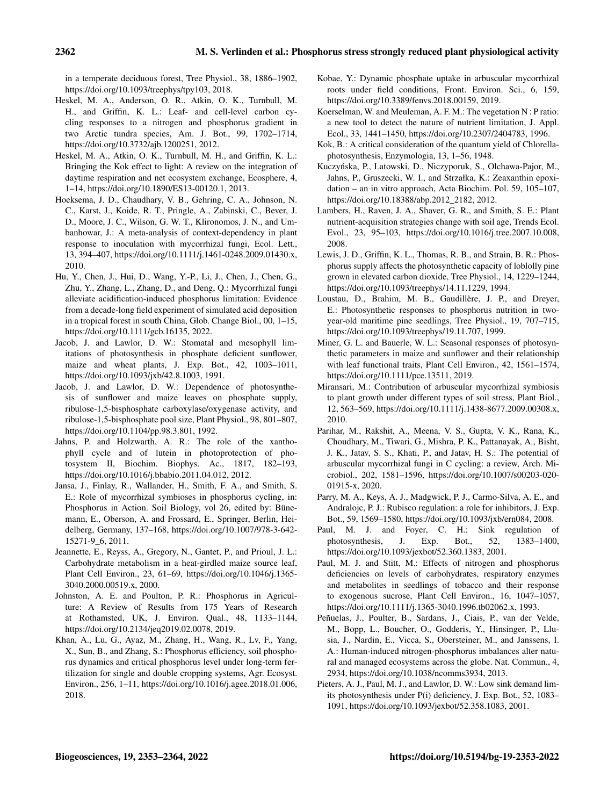in a temperate deciduous forest, Tree Physiol., 38, 1886–1902, https://doi.org[/10.1093/treephys/tpy103,](https://doi.org/10.1093/treephys/tpy103) 2018.

- Heskel, M. A., Anderson, O. R., Atkin, O. K., Turnbull, M. H., and Griffin, K. L.: Leaf- and cell-level carbon cycling responses to a nitrogen and phosphorus gradient in two Arctic tundra species, Am. J. Bot., 99, 1702–1714, https://doi.org[/10.3732/ajb.1200251,](https://doi.org/10.3732/ajb.1200251) 2012.
- Heskel, M. A., Atkin, O. K., Turnbull, M. H., and Griffin, K. L.: Bringing the Kok effect to light: A review on the integration of daytime respiration and net ecosystem exchange, Ecosphere, 4, 1–14, https://doi.org[/10.1890/ES13-00120.1,](https://doi.org/10.1890/ES13-00120.1) 2013.
- Hoeksema, J. D., Chaudhary, V. B., Gehring, C. A., Johnson, N. C., Karst, J., Koide, R. T., Pringle, A., Zabinski, C., Bever, J. D., Moore, J. C., Wilson, G. W. T., Klironomos, J. N., and Umbanhowar, J.: A meta-analysis of context-dependency in plant response to inoculation with mycorrhizal fungi, Ecol. Lett., 13, 394–407, https://doi.org[/10.1111/j.1461-0248.2009.01430.x,](https://doi.org/10.1111/j.1461-0248.2009.01430.x) 2010.
- Hu, Y., Chen, J., Hui, D., Wang, Y.-P., Li, J., Chen, J., Chen, G., Zhu, Y., Zhang, L., Zhang, D., and Deng, Q.: Mycorrhizal fungi alleviate acidification-induced phosphorus limitation: Evidence from a decade-long field experiment of simulated acid deposition in a tropical forest in south China, Glob. Change Biol., 00, 1–15, https://doi.org[/10.1111/gcb.16135,](https://doi.org/10.1111/gcb.16135) 2022.
- Jacob, J. and Lawlor, D. W.: Stomatal and mesophyll limitations of photosynthesis in phosphate deficient sunflower, maize and wheat plants, J. Exp. Bot., 42, 1003–1011, https://doi.org[/10.1093/jxb/42.8.1003,](https://doi.org/10.1093/jxb/42.8.1003) 1991.
- Jacob, J. and Lawlor, D. W.: Dependence of photosynthesis of sunflower and maize leaves on phosphate supply, ribulose-1,5-bisphosphate carboxylase/oxygenase activity, and ribulose-1,5-bisphosphate pool size, Plant Physiol., 98, 801–807, https://doi.org[/10.1104/pp.98.3.801,](https://doi.org/10.1104/pp.98.3.801) 1992.
- Jahns, P. and Holzwarth, A. R.: The role of the xanthophyll cycle and of lutein in photoprotection of photosystem II, Biochim. Biophys. Ac., 1817, 182–193, https://doi.org[/10.1016/j.bbabio.2011.04.012,](https://doi.org/10.1016/j.bbabio.2011.04.012) 2012.
- Jansa, J., Finlay, R., Wallander, H., Smith, F. A., and Smith, S. E.: Role of mycorrhizal symbioses in phosphorus cycling, in: Phosphorus in Action. Soil Biology, vol 26, edited by: Bünemann, E., Oberson, A. and Frossard, E., Springer, Berlin, Heidelberg, Germany, 137–168, https://doi.org[/10.1007/978-3-642-](https://doi.org/10.1007/978-3-642-15271-9_6) [15271-9\\_6,](https://doi.org/10.1007/978-3-642-15271-9_6) 2011.
- Jeannette, E., Reyss, A., Gregory, N., Gantet, P., and Prioul, J. L.: Carbohydrate metabolism in a heat-girdled maize source leaf, Plant Cell Environ., 23, 61–69, https://doi.org[/10.1046/j.1365-](https://doi.org/10.1046/j.1365-3040.2000.00519.x) [3040.2000.00519.x,](https://doi.org/10.1046/j.1365-3040.2000.00519.x) 2000.
- Johnston, A. E. and Poulton, P. R.: Phosphorus in Agriculture: A Review of Results from 175 Years of Research at Rothamsted, UK, J. Environ. Qual., 48, 1133–1144, https://doi.org[/10.2134/jeq2019.02.0078,](https://doi.org/10.2134/jeq2019.02.0078) 2019.
- Khan, A., Lu, G., Ayaz, M., Zhang, H., Wang, R., Lv, F., Yang, X., Sun, B., and Zhang, S.: Phosphorus efficiency, soil phosphorus dynamics and critical phosphorus level under long-term fertilization for single and double cropping systems, Agr. Ecosyst. Environ., 256, 1–11, https://doi.org[/10.1016/j.agee.2018.01.006,](https://doi.org/10.1016/j.agee.2018.01.006) 2018.
- Kobae, Y.: Dynamic phosphate uptake in arbuscular mycorrhizal roots under field conditions, Front. Environ. Sci., 6, 159, https://doi.org[/10.3389/fenvs.2018.00159,](https://doi.org/10.3389/fenvs.2018.00159) 2019.
- Koerselman, W. and Meuleman, A. F. M.: The vegetation N : P ratio: a new tool to detect the nature of nutrient limitation, J. Appl. Ecol., 33, 1441–1450, https://doi.org[/10.2307/2404783,](https://doi.org/10.2307/2404783) 1996.
- Kok, B.: A critical consideration of the quantum yield of Chlorellaphotosynthesis, Enzymologia, 13, 1–56, 1948.
- Kuczynska, P., Latowski, D., Niczyporuk, S., Olchawa-Pajor, M., ´ Jahns, P., Gruszecki, W. I., and Strzałka, K.: Zeaxanthin epoxidation – an in vitro approach, Acta Biochim. Pol. 59, 105–107, https://doi.org[/10.18388/abp.2012\\_2182,](https://doi.org/10.18388/abp.2012_2182) 2012.
- Lambers, H., Raven, J. A., Shaver, G. R., and Smith, S. E.: Plant nutrient-acquisition strategies change with soil age, Trends Ecol. Evol., 23, 95–103, https://doi.org[/10.1016/j.tree.2007.10.008,](https://doi.org/10.1016/j.tree.2007.10.008) 2008.
- Lewis, J. D., Griffin, K. L., Thomas, R. B., and Strain, B. R.: Phosphorus supply affects the photosynthetic capacity of loblolly pine grown in elevated carbon dioxide, Tree Physiol., 14, 1229–1244, https://doi.org[/10.1093/treephys/14.11.1229,](https://doi.org/10.1093/treephys/14.11.1229) 1994.
- Loustau, D., Brahim, M. B., Gaudillère, J. P., and Dreyer, E.: Photosynthetic responses to phosphorus nutrition in twoyear-old maritime pine seedlings, Tree Physiol., 19, 707–715, https://doi.org[/10.1093/treephys/19.11.707,](https://doi.org/10.1093/treephys/19.11.707) 1999.
- Miner, G. L. and Bauerle, W. L.: Seasonal responses of photosynthetic parameters in maize and sunflower and their relationship with leaf functional traits, Plant Cell Environ., 42, 1561–1574, https://doi.org[/10.1111/pce.13511,](https://doi.org/10.1111/pce.13511) 2019.
- Miransari, M.: Contribution of arbuscular mycorrhizal symbiosis to plant growth under different types of soil stress, Plant Biol., 12, 563–569, https://doi.org[/10.1111/j.1438-8677.2009.00308.x,](https://doi.org/10.1111/j.1438-8677.2009.00308.x) 2010.
- Parihar, M., Rakshit, A., Meena, V. S., Gupta, V. K., Rana, K., Choudhary, M., Tiwari, G., Mishra, P. K., Pattanayak, A., Bisht, J. K., Jatav, S. S., Khati, P., and Jatav, H. S.: The potential of arbuscular mycorrhizal fungi in C cycling: a review, Arch. Microbiol., 202, 1581–1596, https://doi.org[/10.1007/s00203-020-](https://doi.org/10.1007/s00203-020-01915-x) [01915-x,](https://doi.org/10.1007/s00203-020-01915-x) 2020.
- Parry, M. A., Keys, A. J., Madgwick, P. J., Carmo-Silva, A. E., and Andralojc, P. J.: Rubisco regulation: a role for inhibitors, J. Exp. Bot., 59, 1569–1580, https://doi.org[/10.1093/jxb/ern084,](https://doi.org/10.1093/jxb/ern084) 2008.
- Paul, M. J. and Foyer, C. H.: Sink regulation of photosynthesis, J. Exp. Bot., 52, 1383–1400, https://doi.org[/10.1093/jexbot/52.360.1383,](https://doi.org/10.1093/jexbot/52.360.1383) 2001.
- Paul, M. J. and Stitt, M.: Effects of nitrogen and phosphorus deficiencies on levels of carbohydrates, respiratory enzymes and metabolites in seedlings of tobacco and their response to exogenous sucrose, Plant Cell Environ., 16, 1047–1057, https://doi.org[/10.1111/j.1365-3040.1996.tb02062.x,](https://doi.org/10.1111/j.1365-3040.1996.tb02062.x) 1993.
- Peñuelas, J., Poulter, B., Sardans, J., Ciais, P., van der Velde, M., Bopp, L., Boucher, O., Godderis, Y., Hinsinger, P., Llusia, J., Nardin, E., Vicca, S., Obersteiner, M., and Janssens, I. A.: Human-induced nitrogen-phosphorus imbalances alter natural and managed ecosystems across the globe. Nat. Commun., 4, 2934, https://doi.org[/10.1038/ncomms3934,](https://doi.org/10.1038/ncomms3934) 2013.
- Pieters, A. J., Paul, M. J., and Lawlor, D. W.: Low sink demand limits photosynthesis under P(i) deficiency, J. Exp. Bot., 52, 1083– 1091, https://doi.org[/10.1093/jexbot/52.358.1083,](https://doi.org/10.1093/jexbot/52.358.1083) 2001.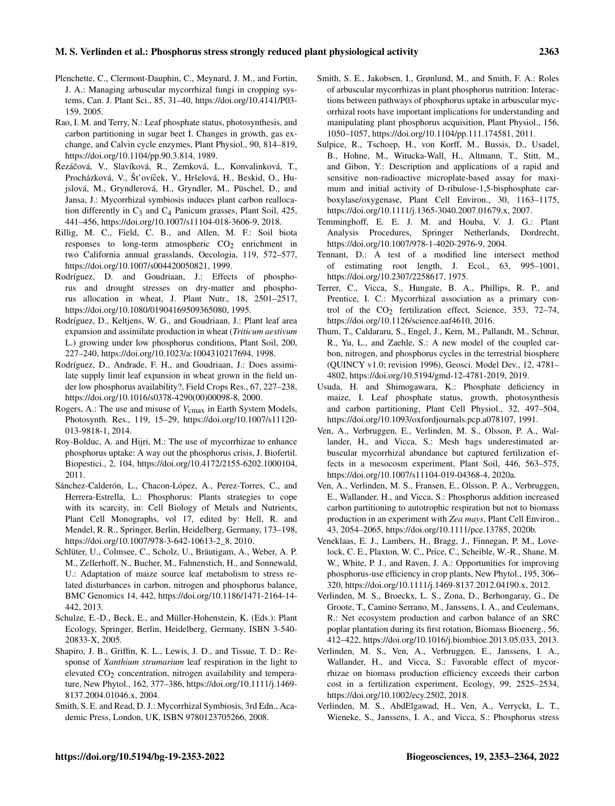- Plenchette, C., Clermont-Dauphin, C., Meynard, J. M., and Fortin, J. A.: Managing arbuscular mycorrhizal fungi in cropping systems, Can. J. Plant Sci., 85, 31–40, https://doi.org[/10.4141/P03-](https://doi.org/10.4141/P03-159) [159,](https://doi.org/10.4141/P03-159) 2005.
- Rao, I. M. and Terry, N.: Leaf phosphate status, photosynthesis, and carbon partitioning in sugar beet I. Changes in growth, gas exchange, and Calvin cycle enzymes, Plant Physiol., 90, 814–819, https://doi.org[/10.1104/pp.90.3.814,](https://doi.org/10.1104/pp.90.3.814) 1989.
- Řezáčová, V., Slavíková, R., Zemková, L., Konvalinková, T., Procházková, V., Šťovíček, V., Hršelová, H., Beskid, O., Hujslová, M., Gryndlerová, H., Gryndler, M., Püschel, D., and Jansa, J.: Mycorrhizal symbiosis induces plant carbon reallocation differently in  $C_3$  and  $C_4$  Panicum grasses, Plant Soil, 425, 441–456, https://doi.org[/10.1007/s11104-018-3606-9,](https://doi.org/10.1007/s11104-018-3606-9) 2018.
- Rillig, M. C., Field, C. B., and Allen, M. F.: Soil biota responses to long-term atmospheric  $CO<sub>2</sub>$  enrichment in two California annual grasslands, Oecologia, 119, 572–577, https://doi.org[/10.1007/s004420050821,](https://doi.org/10.1007/s004420050821) 1999.
- Rodríguez, D. and Goudriaan, J.: Effects of phosphorus and drought stresses on dry-matter and phosphorus allocation in wheat, J. Plant Nutr., 18, 2501–2517, https://doi.org[/10.1080/01904169509365080,](https://doi.org/10.1080/01904169509365080) 1995.
- Rodríguez, D., Keltjens, W. G., and Goudriaan, J.: Plant leaf area expansion and assimilate production in wheat (*Triticum aestivum* L.) growing under low phosphorus conditions, Plant Soil, 200, 227–240, https://doi.org[/10.1023/a:1004310217694,](https://doi.org/10.1023/a:1004310217694) 1998.
- Rodríguez, D., Andrade, F. H., and Goudriaan, J.: Does assimilate supply limit leaf expansion in wheat grown in the field under low phosphorus availability?, Field Crops Res., 67, 227–238, https://doi.org[/10.1016/s0378-4290\(00\)00098-8,](https://doi.org/10.1016/s0378-4290(00)00098-8) 2000.
- Rogers, A.: The use and misuse of  $V_{\text{cmax}}$  in Earth System Models, Photosynth. Res., 119, 15–29, https://doi.org[/10.1007/s11120-](https://doi.org/10.1007/s11120-013-9818-1) [013-9818-1,](https://doi.org/10.1007/s11120-013-9818-1) 2014.
- Roy-Bolduc, A. and Hijri, M.: The use of mycorrhizae to enhance phosphorus uptake: A way out the phosphorus crisis, J. Biofertil. Biopestici., 2, 104, https://doi.org[/10.4172/2155-6202.1000104,](https://doi.org/10.4172/2155-6202.1000104) 2011.
- Sánchez-Calderón, L., Chacon-López, A., Perez-Torres, C., and Herrera-Estrella, L.: Phosphorus: Plants strategies to cope with its scarcity, in: Cell Biology of Metals and Nutrients, Plant Cell Monographs, vol 17, edited by: Hell, R. and Mendel, R. R., Springer, Berlin, Heidelberg, Germany, 173–198, https://doi.org[/10.1007/978-3-642-10613-2\\_8,](https://doi.org/10.1007/978-3-642-10613-2_8) 2010.
- Schlüter, U., Colmsee, C., Scholz, U., Bräutigam, A., Weber, A. P. M., Zellerhoff, N., Bucher, M., Fahnenstich, H., and Sonnewald, U.: Adaptation of maize source leaf metabolism to stress related disturbances in carbon, nitrogen and phosphorus balance, BMC Genomics 14, 442, https://doi.org[/10.1186/1471-2164-14-](https://doi.org/10.1186/1471-2164-14-442) [442,](https://doi.org/10.1186/1471-2164-14-442) 2013.
- Schulze, E.-D., Beck, E., and Müller-Hohenstein, K. (Eds.): Plant Ecology, Springer, Berlin, Heidelberg, Germany, ISBN 3-540- 20833-X, 2005.
- Shapiro, J. B., Griffin, K. L., Lewis, J. D., and Tissue, T. D.: Response of *Xanthium strumarium* leaf respiration in the light to elevated  $CO<sub>2</sub>$  concentration, nitrogen availability and temperature, New Phytol., 162, 377–386, https://doi.org[/10.1111/j.1469-](https://doi.org/10.1111/j.1469-8137.2004.01046.x) [8137.2004.01046.x,](https://doi.org/10.1111/j.1469-8137.2004.01046.x) 2004.
- Smith, S. E. and Read, D. J.: Mycorrhizal Symbiosis, 3rd Edn., Academic Press, London, UK, ISBN 9780123705266, 2008.
- Smith, S. E., Jakobsen, I., Grønlund, M., and Smith, F. A.: Roles of arbuscular mycorrhizas in plant phosphorus nutrition: Interactions between pathways of phosphorus uptake in arbuscular mycorrhizal roots have important implications for understanding and manipulating plant phosphorus acquisition, Plant Physiol., 156, 1050–1057, https://doi.org[/10.1104/pp.111.174581,](https://doi.org/10.1104/pp.111.174581) 2011.
- Sulpice, R., Tschoep, H., von Korff, M., Bussis, D., Usadel, B., Hohne, M., Witucka-Wall, H., Altmann, T., Stitt, M., and Gibon, Y.: Description and applications of a rapid and sensitive non-radioactive microplate-based assay for maximum and initial activity of D-ribulose-1,5-bisphosphate carboxylase/oxygenase, Plant Cell Environ., 30, 1163–1175, https://doi.org[/10.1111/j.1365-3040.2007.01679.x,](https://doi.org/10.1111/j.1365-3040.2007.01679.x) 2007.
- Temminghoff, E. E. J. M. and Houba, V. J. G.: Plant Analysis Procedures, Springer Netherlands, Dordrecht, https://doi.org[/10.1007/978-1-4020-2976-9,](https://doi.org/10.1007/978-1-4020-2976-9) 2004.
- Tennant, D.: A test of a modified line intersect method of estimating root length, J. Ecol., 63, 995–1001, https://doi.org[/10.2307/2258617,](https://doi.org/10.2307/2258617) 1975.
- Terrer, C., Vicca, S., Hungate, B. A., Phillips, R. P., and Prentice, I. C.: Mycorrhizal association as a primary control of the  $CO<sub>2</sub>$  fertilization effect, Science, 353, 72–74, https://doi.org[/10.1126/science.aaf4610,](https://doi.org/10.1126/science.aaf4610) 2016.
- Thum, T., Caldararu, S., Engel, J., Kern, M., Pallandt, M., Schnur, R., Yu, L., and Zaehle, S.: A new model of the coupled carbon, nitrogen, and phosphorus cycles in the terrestrial biosphere (QUINCY v1.0; revision 1996), Geosci. Model Dev., 12, 4781– 4802, https://doi.org[/10.5194/gmd-12-4781-2019,](https://doi.org/10.5194/gmd-12-4781-2019) 2019.
- Usuda, H. and Shimogawara, K.: Phosphate deficiency in maize, I. Leaf phosphate status, growth, photosynthesis and carbon partitioning, Plant Cell Physiol., 32, 497–504, https://doi.org[/10.1093/oxfordjournals.pcp.a078107,](https://doi.org/10.1093/oxfordjournals.pcp.a078107) 1991.
- Ven, A., Verbruggen, E., Verlinden, M. S., Olsson, P. A., Wallander, H., and Vicca, S.: Mesh bags underestimated arbuscular mycorrhizal abundance but captured fertilization effects in a mesocosm experiment, Plant Soil, 446, 563–575, https://doi.org[/10.1007/s11104-019-04368-4,](https://doi.org/10.1007/s11104-019-04368-4) 2020a.
- Ven, A., Verlinden, M. S., Fransen, E., Olsson, P. A., Verbruggen, E., Wallander, H., and Vicca, S.: Phosphorus addition increased carbon partitioning to autotrophic respiration but not to biomass production in an experiment with *Zea mays*, Plant Cell Environ., 43, 2054–2065, https://doi.org[/10.1111/pce.13785,](https://doi.org/10.1111/pce.13785) 2020b.
- Veneklaas, E. J., Lambers, H., Bragg, J., Finnegan, P. M., Lovelock, C. E., Plaxton, W. C., Price, C., Scheible, W.-R., Shane, M. W., White, P. J., and Raven, J. A.: Opportunities for improving phosphorus-use efficiency in crop plants, New Phytol., 195, 306– 320, https://doi.org[/10.1111/j.1469-8137.2012.04190.x,](https://doi.org/10.1111/j.1469-8137.2012.04190.x) 2012.
- Verlinden, M. S., Broeckx, L. S., Zona, D., Berhongaray, G., De Groote, T., Camino Serrano, M., Janssens, I. A., and Ceulemans, R.: Net ecosystem production and carbon balance of an SRC poplar plantation during its first rotation, Biomass Bioenerg., 56, 412–422, https://doi.org[/10.1016/j.biombioe.2013.05.033,](https://doi.org/10.1016/j.biombioe.2013.05.033) 2013.
- Verlinden, M. S., Ven, A., Verbruggen, E., Janssens, I. A., Wallander, H., and Vicca, S.: Favorable effect of mycorrhizae on biomass production efficiency exceeds their carbon cost in a fertilization experiment, Ecology, 99, 2525–2534, https://doi.org[/10.1002/ecy.2502,](https://doi.org/10.1002/ecy.2502) 2018.
- Verlinden, M. S., AbdElgawad, H., Ven, A., Verryckt, L. T., Wieneke, S., Janssens, I. A., and Vicca, S.: Phosphorus stress